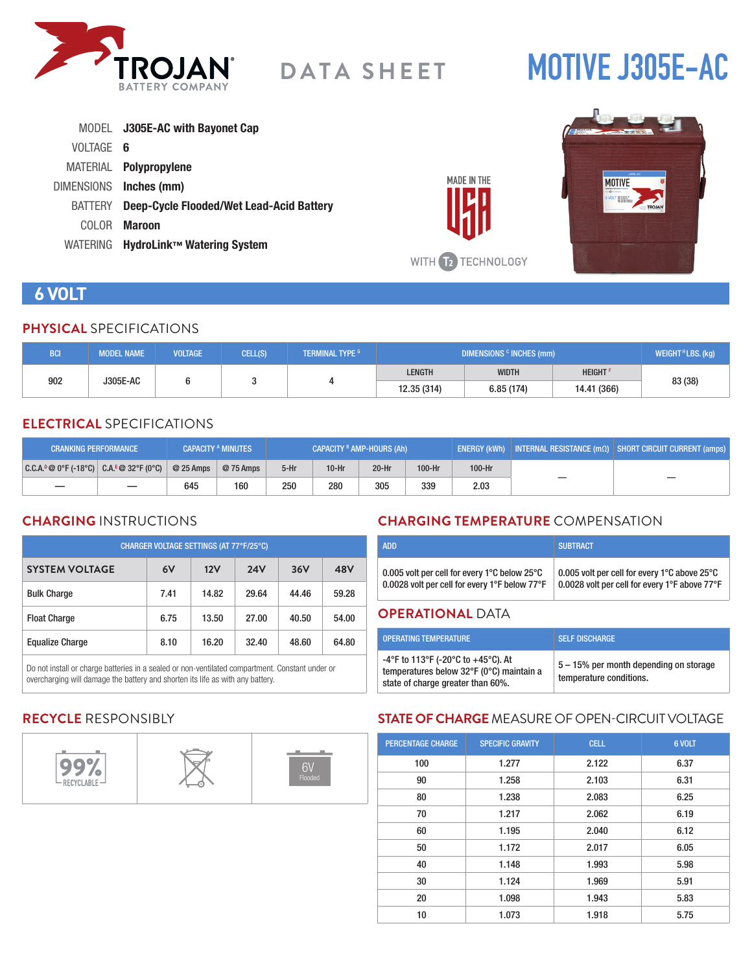

# **MOTIVE J305E-AC**

|           | MODEL J305E-AC with Bayonet Cap                  |
|-----------|--------------------------------------------------|
| VOLTAGE 6 |                                                  |
|           | MATERIAL <b>Polypropylene</b>                    |
|           | DIMENSIONS Inches (mm)                           |
|           | BATTERY Deep-Cycle Flooded/Wet Lead-Acid Battery |
| COLOR.    | Maroon                                           |
|           | WATERING HydroLink™ Watering System              |



**MADE IN THE** 

### **6 VOLT**

#### **PHYSICAL** SPECIFICATIONS

| <b>BCI</b>             | <b>MODEL NAME</b> | <b>VOLTAGE</b> | CELL(S) | <b>TERMINAL TYPE G</b> | DIMENSIONS <sup>c</sup> INCHES (mm) |               |         | WEIGHT <sup>H</sup> LBS. (kg) |
|------------------------|-------------------|----------------|---------|------------------------|-------------------------------------|---------------|---------|-------------------------------|
| 902<br><b>J305E-AC</b> |                   |                |         | <b>LENGTH</b>          | <b>WIDTH</b>                        | <b>HEIGHT</b> | 83 (38) |                               |
|                        |                   |                |         | 12.35 (314)            | 6.85(174)                           | 14.41 (366)   |         |                               |

#### **ELECTRICAL** SPECIFICATIONS

| <b>CRANKING PERFORMANCE</b>               |            | <b>CAPACITY A MINUTES</b> | CAPACITY <sup>B</sup> AMP-HOURS (Ah) |         |         | $\mid$ ENERGY (kWh) $\mid$ INTERNAL RESISTANCE (m $\Omega$ ) $\mid$ SHORT CIRCUIT CURRENT (amps) $\mid$ |        |  |
|-------------------------------------------|------------|---------------------------|--------------------------------------|---------|---------|---------------------------------------------------------------------------------------------------------|--------|--|
| $ C.C.A.^0@0°F(-18°C)  C.A.^E@32°F(0°C) $ | $@25$ Amps | @ 75 Amps                 | $5-Hr$                               | $10-Hr$ | $20-Hr$ | 100-Hr                                                                                                  | 100-Hr |  |
|                                           | 645        | 160                       | 250                                  | 280     | 305     | 339                                                                                                     | 2.03   |  |

#### **CHARGING** INSTRUCTIONS

| CHARGER VOLTAGE SETTINGS (AT 77°F/25°C) |      |       |            |       |       |  |  |
|-----------------------------------------|------|-------|------------|-------|-------|--|--|
| <b>SYSTEM VOLTAGE</b>                   | 6V   | 12V   | <b>24V</b> | 36V   | 48V   |  |  |
| <b>Bulk Charge</b>                      | 7.41 | 14.82 | 29.64      | 44.46 | 59.28 |  |  |
| <b>Float Charge</b>                     | 6.75 | 13.50 | 27.00      | 40.50 | 54.00 |  |  |
| <b>Equalize Charge</b>                  | 8.10 | 16.20 | 32.40      | 48.60 | 64.80 |  |  |

Do not install or charge batteries in a sealed or non-ventilated compartment. Constant under or overcharging will damage the battery and shorten its life as with any battery.

#### **CHARGING TEMPERATURE** COMPENSATION

| 0.005 volt per cell for every 1°C below 25°C  | 0.005 volt per cell for every 1°C above 25°C  |
|-----------------------------------------------|-----------------------------------------------|
| 0.0028 volt per cell for every 1°F below 77°F | 0.0028 volt per cell for every 1°F above 77°F |

#### **OPERATIONAL** DATA

| <b>OPERATING TEMPERATURE</b>                                                                                        | <b>SELF DISCHARGE</b>                                             |
|---------------------------------------------------------------------------------------------------------------------|-------------------------------------------------------------------|
| -4°F to 113°F (-20°C to +45°C). At<br>temperatures below 32°F (0°C) maintain a<br>state of charge greater than 60%. | 5 – 15% per month depending on storage<br>temperature conditions. |

#### **RECYCLE** RESPONSIBLY



#### **STATE OF CHARGE** MEASURE OF OPEN-CIRCUIT VOLTAGE

| <b>PERCENTAGE CHARGE</b> | <b>SPECIFIC GRAVITY</b> | <b>CELL</b> | 6 VOLT |
|--------------------------|-------------------------|-------------|--------|
| 100                      | 1.277                   | 2.122       | 6.37   |
| 90                       | 1.258                   | 2.103       | 6.31   |
| 80                       | 1.238                   | 2.083       | 6.25   |
| 70                       | 1.217                   | 2.062       | 6.19   |
| 60                       | 1.195                   | 2.040       | 6.12   |
| 50                       | 1.172                   | 2.017       | 6.05   |
| 40                       | 1.148                   | 1.993       | 5.98   |
| 30                       | 1.124                   | 1.969       | 5.91   |
| 20                       | 1.098                   | 1.943       | 5.83   |
| 10                       | 1.073                   | 1.918       | 5.75   |